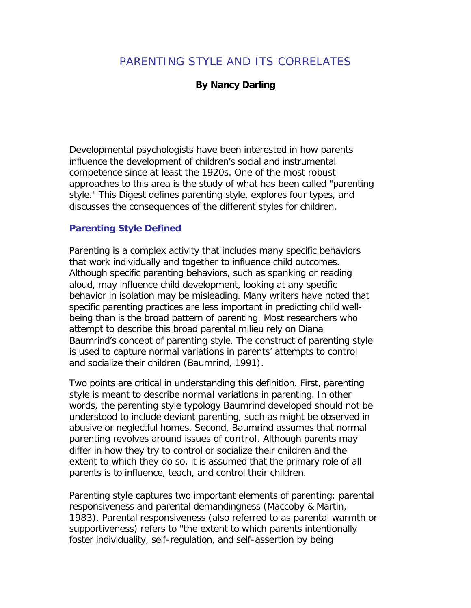# PARENTING STYLE AND ITS CORRELATES

# **By Nancy Darling**

Developmental psychologists have been interested in how parents influence the development of children's social and instrumental competence since at least the 1920s. One of the most robust approaches to this area is the study of what has been called "parenting style." This Digest defines parenting style, explores four types, and discusses the consequences of the different styles for children.

#### **Parenting Style Defined**

Parenting is a complex activity that includes many specific behaviors that work individually and together to influence child outcomes. Although specific parenting behaviors, such as spanking or reading aloud, may influence child development, looking at any specific behavior in isolation may be misleading. Many writers have noted that specific parenting practices are less important in predicting child wellbeing than is the broad pattern of parenting. Most researchers who attempt to describe this broad parental milieu rely on Diana Baumrind's concept of parenting style. The construct of parenting style is used to capture normal variations in parents' attempts to control and socialize their children (Baumrind, 1991).

Two points are critical in understanding this definition. First, parenting style is meant to describe *normal* variations in parenting. In other words, the parenting style typology Baumrind developed should not be understood to include deviant parenting, such as might be observed in abusive or neglectful homes. Second, Baumrind assumes that normal parenting revolves around issues of *control*. Although parents may differ in how they try to control or socialize their children and the extent to which they do so, it is assumed that the primary role of all parents is to influence, teach, and control their children.

Parenting style captures two important elements of parenting: parental responsiveness and parental demandingness (Maccoby & Martin, 1983). Parental responsiveness (also referred to as parental warmth or supportiveness) refers to "the extent to which parents intentionally foster individuality, self-regulation, and self-assertion by being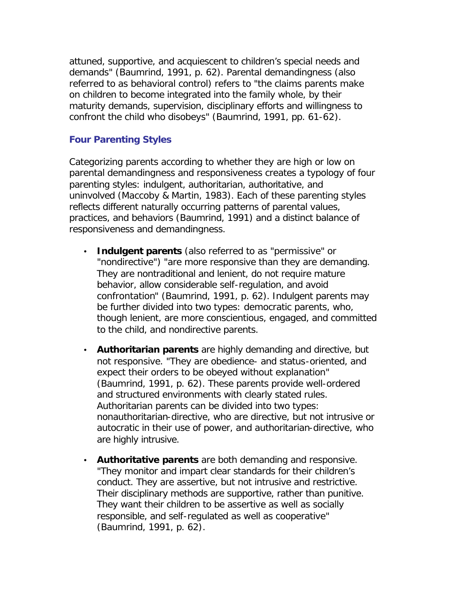attuned, supportive, and acquiescent to children's special needs and demands" (Baumrind, 1991, p. 62). Parental demandingness (also referred to as behavioral control) refers to "the claims parents make on children to become integrated into the family whole, by their maturity demands, supervision, disciplinary efforts and willingness to confront the child who disobeys" (Baumrind, 1991, pp. 61-62).

# **Four Parenting Styles**

Categorizing parents according to whether they are high or low on parental demandingness and responsiveness creates a typology of four parenting styles: indulgent, authoritarian, authoritative, and uninvolved (Maccoby & Martin, 1983). Each of these parenting styles reflects different naturally occurring patterns of parental values, practices, and behaviors (Baumrind, 1991) and a distinct balance of responsiveness and demandingness.

- *Indulgent parents* (also referred to as "permissive" or "nondirective") "are more responsive than they are demanding. They are nontraditional and lenient, do not require mature behavior, allow considerable self-regulation, and avoid confrontation" (Baumrind, 1991, p. 62). Indulgent parents may be further divided into two types: democratic parents, who, though lenient, are more conscientious, engaged, and committed to the child, and nondirective parents.
- *Authoritarian parents* are highly demanding and directive, but not responsive. "They are obedience- and status-oriented, and expect their orders to be obeyed without explanation" (Baumrind, 1991, p. 62). These parents provide well-ordered and structured environments with clearly stated rules. Authoritarian parents can be divided into two types: nonauthoritarian-directive, who are directive, but not intrusive or autocratic in their use of power, and authoritarian-directive, who are highly intrusive.
- *Authoritative parents* are both demanding and responsive. "They monitor and impart clear standards for their children's conduct. They are assertive, but not intrusive and restrictive. Their disciplinary methods are supportive, rather than punitive. They want their children to be assertive as well as socially responsible, and self-regulated as well as cooperative" (Baumrind, 1991, p. 62).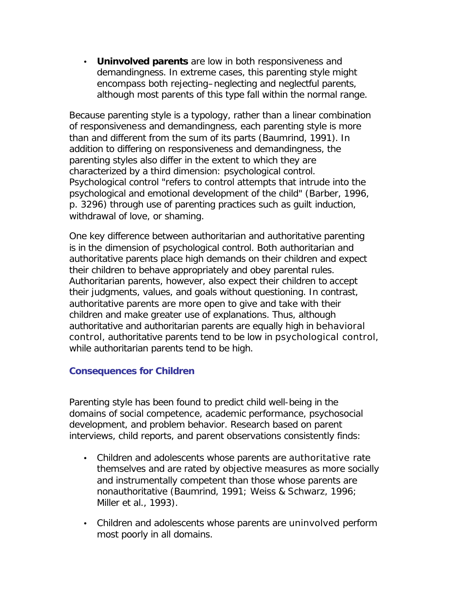• *Uninvolved parents* are low in both responsiveness and demandingness. In extreme cases, this parenting style might encompass both rejecting–neglecting and neglectful parents, although most parents of this type fall within the normal range.

Because parenting style is a typology, rather than a linear combination of responsiveness and demandingness, each parenting style is more than and different from the sum of its parts (Baumrind, 1991). In addition to differing on responsiveness and demandingness, the parenting styles also differ in the extent to which they are characterized by a third dimension: psychological control. Psychological control "refers to control attempts that intrude into the psychological and emotional development of the child" (Barber, 1996, p. 3296) through use of parenting practices such as guilt induction, withdrawal of love, or shaming.

One key difference between authoritarian and authoritative parenting is in the dimension of psychological control. Both authoritarian and authoritative parents place high demands on their children and expect their children to behave appropriately and obey parental rules. Authoritarian parents, however, also expect their children to accept their judgments, values, and goals without questioning. In contrast, authoritative parents are more open to give and take with their children and make greater use of explanations. Thus, although authoritative and authoritarian parents are equally high in *behavioral control*, authoritative parents tend to be low in *psychological control*, while authoritarian parents tend to be high.

#### **Consequences for Children**

Parenting style has been found to predict child well-being in the domains of social competence, academic performance, psychosocial development, and problem behavior. Research based on parent interviews, child reports, and parent observations consistently finds:

- Children and adolescents whose parents are *authoritative* rate themselves and are rated by objective measures as more socially and instrumentally competent than those whose parents are nonauthoritative (Baumrind, 1991; Weiss & Schwarz, 1996; Miller et al., 1993).
- Children and adolescents whose parents are *uninvolved* perform most poorly in all domains.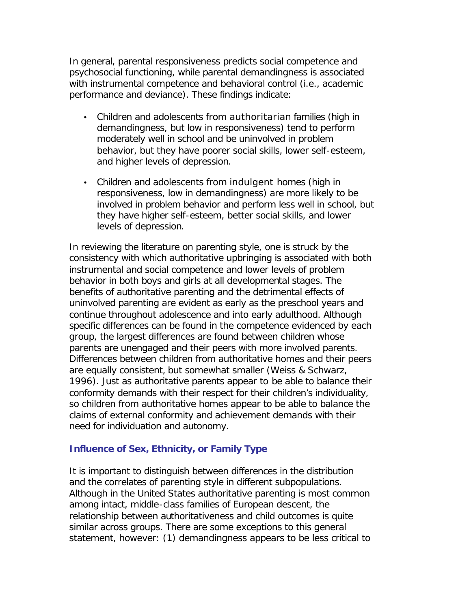In general, parental responsiveness predicts social competence and psychosocial functioning, while parental demandingness is associated with instrumental competence and behavioral control (i.e., academic performance and deviance). These findings indicate:

- Children and adolescents from *authoritarian* families (high in demandingness, but low in responsiveness) tend to perform moderately well in school and be uninvolved in problem behavior, but they have poorer social skills, lower self-esteem, and higher levels of depression.
- Children and adolescents from *indulgent* homes (high in responsiveness, low in demandingness) are more likely to be involved in problem behavior and perform less well in school, but they have higher self-esteem, better social skills, and lower levels of depression.

In reviewing the literature on parenting style, one is struck by the consistency with which authoritative upbringing is associated with both instrumental and social competence and lower levels of problem behavior in both boys and girls at all developmental stages. The benefits of authoritative parenting and the detrimental effects of uninvolved parenting are evident as early as the preschool years and continue throughout adolescence and into early adulthood. Although specific differences can be found in the competence evidenced by each group, the largest differences are found between children whose parents are unengaged and their peers with more involved parents. Differences between children from authoritative homes and their peers are equally consistent, but somewhat smaller (Weiss & Schwarz, 1996). Just as authoritative parents appear to be able to balance their conformity demands with their respect for their children's individuality, so children from authoritative homes appear to be able to balance the claims of external conformity and achievement demands with their need for individuation and autonomy.

## **Influence of Sex, Ethnicity, or Family Type**

It is important to distinguish between differences in the distribution and the correlates of parenting style in different subpopulations. Although in the United States authoritative parenting is most common among intact, middle-class families of European descent, the relationship between authoritativeness and child outcomes is quite similar across groups. There are some exceptions to this general statement, however: (1) demandingness appears to be less critical to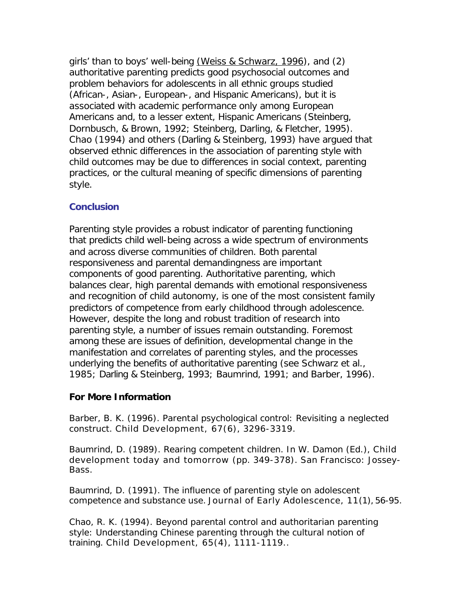girls' than to boys' well-being (Weiss & Schwarz, 1996), and (2) authoritative parenting predicts good psychosocial outcomes and problem behaviors for adolescents in all ethnic groups studied (African-, Asian-, European-, and Hispanic Americans), but it is associated with academic performance only among European Americans and, to a lesser extent, Hispanic Americans (Steinberg, Dornbusch, & Brown, 1992; Steinberg, Darling, & Fletcher, 1995). Chao (1994) and others (Darling & Steinberg, 1993) have argued that observed ethnic differences in the association of parenting style with child outcomes may be due to differences in social context, parenting practices, or the cultural meaning of specific dimensions of parenting style.

## **Conclusion**

Parenting style provides a robust indicator of parenting functioning that predicts child well-being across a wide spectrum of environments and across diverse communities of children. Both parental responsiveness and parental demandingness are important components of good parenting. Authoritative parenting, which balances clear, high parental demands with emotional responsiveness and recognition of child autonomy, is one of the most consistent family predictors of competence from early childhood through adolescence. However, despite the long and robust tradition of research into parenting style, a number of issues remain outstanding. Foremost among these are issues of definition, developmental change in the manifestation and correlates of parenting styles, and the processes underlying the benefits of authoritative parenting (see Schwarz et al., 1985; Darling & Steinberg, 1993; Baumrind, 1991; and Barber, 1996).

## **For More Information**

Barber, B. K. (1996). Parental psychological control: Revisiting a neglected construct. *Child Development, 67*(6), 3296-3319.

Baumrind, D. (1989). Rearing competent children. In W. Damon (Ed.), *Child development today and tomorrow* (pp. 349-378). San Francisco: Jossey-Bass.

Baumrind, D. (1991). The influence of parenting style on adolescent competence and substance use. *Journal of Early Adolescence, 11*(1), 56-95.

Chao, R. K. (1994). Beyond parental control and authoritarian parenting style: Understanding Chinese parenting through the cultural notion of training. *Child Development, 65*(4), 1111-1119..